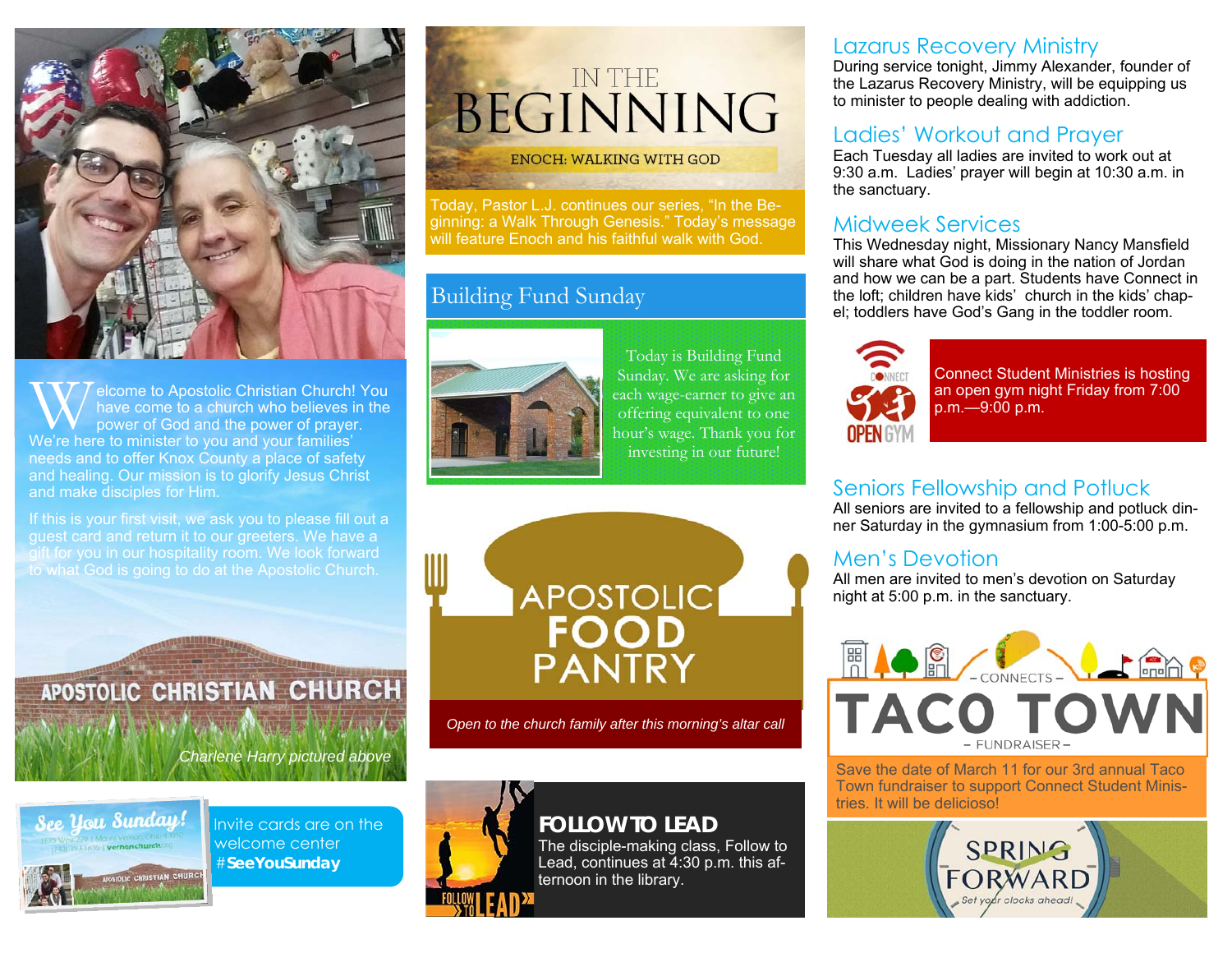

W elcome to Apostolic Christian Church! You have come to a church who believes in the power of God and the power of prayer. We're here to minister to you and your families' needs and to offer Knox County a place of safety and healing. Our mission is to glorify Jesus Christ and make disciples for Him.

If this is your first visit, we ask you to please fill out a guest card and return it to our greeters. We have a gift for you in our hospitality room. We look forward to what God is going to do at the Apostolic Church.

APOSTOLIC CHRISTIAN CHURCH

*Charlene Harry pictured above* 



Invite cards are on the welcome center #**SeeYouSunday** 

# BEGINNING IN THE

#### **ENOCH: WALKING WITH GOD**

Today, Pastor L.J. continues our series, "In the Beginning: a Walk Through Genesis." Today's message will feature Enoch and his faithful walk with God.

#### Building Fund Sunday



Today is Building Fund Sunday. We are asking for each wage-earner to give an offering equivalent to one hour's wage. Thank you for investing in our future!



*Open to the church family after this morning's altar call* 

### **FOLLOW TO LEAD**

The disciple-making class, Follow to Lead, continues at 4:30 p.m. this afternoon in the library.

#### Lazarus Recovery Ministry

During service tonight, Jimmy Alexander, founder of the Lazarus Recovery Ministry, will be equipping us to minister to people dealing with addiction.

#### Ladies' Workout and Prayer

Each Tuesday all ladies are invited to work out at 9:30 a.m. Ladies' prayer will begin at 10:30 a.m. in the sanctuary.

#### Midweek Services

 This Wednesday night, Missionary Nancy Mansfield will share what God is doing in the nation of Jordan and how we can be a part. Students have Connect in the loft; children have kids' church in the kids' chapel; toddlers have God's Gang in the toddler room.



Connect Student Ministries is hosting an open gym night Friday from 7:00 p.m.—9:00 p.m.

### Seniors Fellowship and Potluck

All seniors are invited to a fellowship and potluck dinner Saturday in the gymnasium from 1:00-5:00 p.m.

#### Men's Devotion

All men are invited to men's devotion on Saturday night at 5:00 p.m. in the sanctuary.



Save the date of March 11 for our 3rd annual Taco Town fundraiser to support Connect Student Ministries. It will be delicioso!